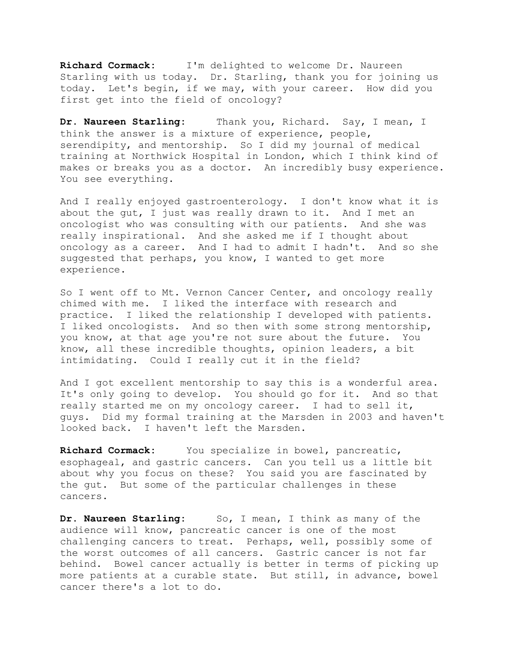**Richard Cormack:** I'm delighted to welcome Dr. Naureen Starling with us today. Dr. Starling, thank you for joining us today. Let's begin, if we may, with your career. How did you first get into the field of oncology?

**Dr. Naureen Starling:** Thank you, Richard. Say, I mean, I think the answer is a mixture of experience, people, serendipity, and mentorship. So I did my journal of medical training at Northwick Hospital in London, which I think kind of makes or breaks you as a doctor. An incredibly busy experience. You see everything.

And I really enjoyed gastroenterology. I don't know what it is about the gut, I just was really drawn to it. And I met an oncologist who was consulting with our patients. And she was really inspirational. And she asked me if I thought about oncology as a career. And I had to admit I hadn't. And so she suggested that perhaps, you know, I wanted to get more experience.

So I went off to Mt. Vernon Cancer Center, and oncology really chimed with me. I liked the interface with research and practice. I liked the relationship I developed with patients. I liked oncologists. And so then with some strong mentorship, you know, at that age you're not sure about the future. You know, all these incredible thoughts, opinion leaders, a bit intimidating. Could I really cut it in the field?

And I got excellent mentorship to say this is a wonderful area. It's only going to develop. You should go for it. And so that really started me on my oncology career. I had to sell it, guys. Did my formal training at the Marsden in 2003 and haven't looked back. I haven't left the Marsden.

**Richard Cormack:** You specialize in bowel, pancreatic, esophageal, and gastric cancers. Can you tell us a little bit about why you focus on these? You said you are fascinated by the gut. But some of the particular challenges in these cancers.

**Dr. Naureen Starling:** So, I mean, I think as many of the audience will know, pancreatic cancer is one of the most challenging cancers to treat. Perhaps, well, possibly some of the worst outcomes of all cancers. Gastric cancer is not far behind. Bowel cancer actually is better in terms of picking up more patients at a curable state. But still, in advance, bowel cancer there's a lot to do.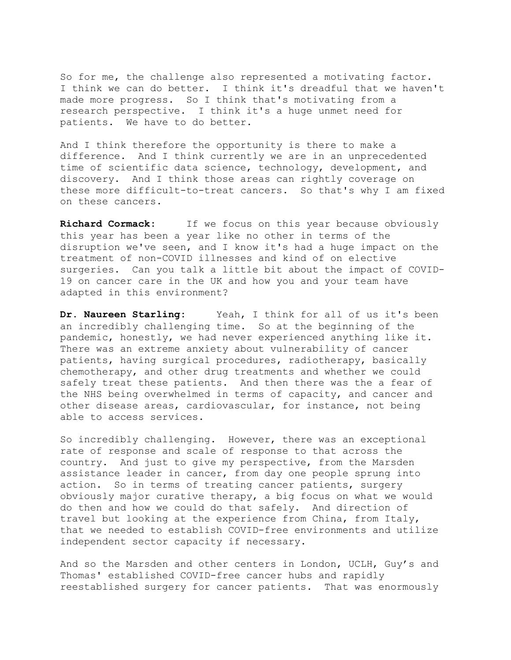So for me, the challenge also represented a motivating factor. I think we can do better. I think it's dreadful that we haven't made more progress. So I think that's motivating from a research perspective. I think it's a huge unmet need for patients. We have to do better.

And I think therefore the opportunity is there to make a difference. And I think currently we are in an unprecedented time of scientific data science, technology, development, and discovery. And I think those areas can rightly coverage on these more difficult-to-treat cancers. So that's why I am fixed on these cancers.

**Richard Cormack:** If we focus on this year because obviously this year has been a year like no other in terms of the disruption we've seen, and I know it's had a huge impact on the treatment of non-COVID illnesses and kind of on elective surgeries. Can you talk a little bit about the impact of COVID-19 on cancer care in the UK and how you and your team have adapted in this environment?

**Dr. Naureen Starling:** Yeah, I think for all of us it's been an incredibly challenging time. So at the beginning of the pandemic, honestly, we had never experienced anything like it. There was an extreme anxiety about vulnerability of cancer patients, having surgical procedures, radiotherapy, basically chemotherapy, and other drug treatments and whether we could safely treat these patients. And then there was the a fear of the NHS being overwhelmed in terms of capacity, and cancer and other disease areas, cardiovascular, for instance, not being able to access services.

So incredibly challenging. However, there was an exceptional rate of response and scale of response to that across the country. And just to give my perspective, from the Marsden assistance leader in cancer, from day one people sprung into action. So in terms of treating cancer patients, surgery obviously major curative therapy, a big focus on what we would do then and how we could do that safely. And direction of travel but looking at the experience from China, from Italy, that we needed to establish COVID-free environments and utilize independent sector capacity if necessary.

And so the Marsden and other centers in London, UCLH, Guy's and Thomas' established COVID-free cancer hubs and rapidly reestablished surgery for cancer patients. That was enormously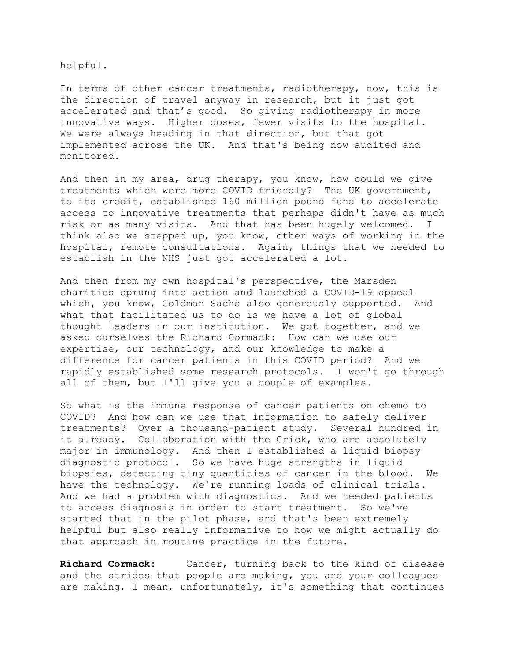helpful.

In terms of other cancer treatments, radiotherapy, now, this is the direction of travel anyway in research, but it just got accelerated and that's good. So giving radiotherapy in more innovative ways. Higher doses, fewer visits to the hospital. We were always heading in that direction, but that got implemented across the UK. And that's being now audited and monitored.

And then in my area, drug therapy, you know, how could we give treatments which were more COVID friendly? The UK government, to its credit, established 160 million pound fund to accelerate access to innovative treatments that perhaps didn't have as much risk or as many visits. And that has been hugely welcomed. I think also we stepped up, you know, other ways of working in the hospital, remote consultations. Again, things that we needed to establish in the NHS just got accelerated a lot.

And then from my own hospital's perspective, the Marsden charities sprung into action and launched a COVID-19 appeal which, you know, Goldman Sachs also generously supported. And what that facilitated us to do is we have a lot of global thought leaders in our institution. We got together, and we asked ourselves the Richard Cormack: How can we use our expertise, our technology, and our knowledge to make a difference for cancer patients in this COVID period? And we rapidly established some research protocols. I won't go through all of them, but I'll give you a couple of examples.

So what is the immune response of cancer patients on chemo to COVID? And how can we use that information to safely deliver treatments? Over a thousand-patient study. Several hundred in it already. Collaboration with the Crick, who are absolutely major in immunology. And then I established a liquid biopsy diagnostic protocol. So we have huge strengths in liquid biopsies, detecting tiny quantities of cancer in the blood. We have the technology. We're running loads of clinical trials. And we had a problem with diagnostics. And we needed patients to access diagnosis in order to start treatment. So we've started that in the pilot phase, and that's been extremely helpful but also really informative to how we might actually do that approach in routine practice in the future.

**Richard Cormack:** Cancer, turning back to the kind of disease and the strides that people are making, you and your colleagues are making, I mean, unfortunately, it's something that continues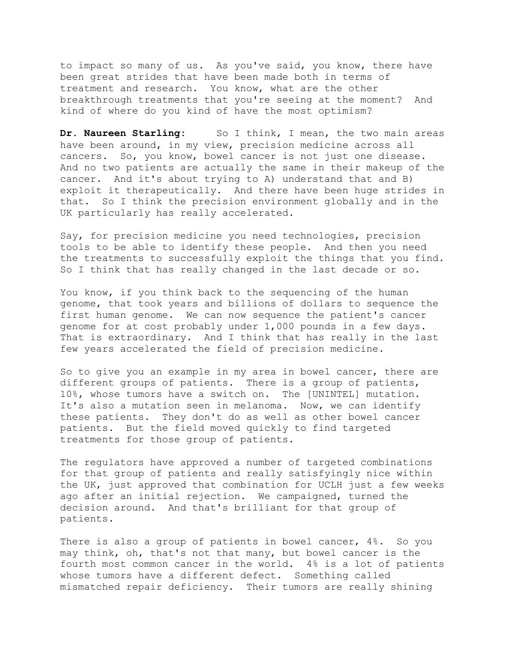to impact so many of us. As you've said, you know, there have been great strides that have been made both in terms of treatment and research. You know, what are the other breakthrough treatments that you're seeing at the moment? And kind of where do you kind of have the most optimism?

**Dr. Naureen Starling:** So I think, I mean, the two main areas have been around, in my view, precision medicine across all cancers. So, you know, bowel cancer is not just one disease. And no two patients are actually the same in their makeup of the cancer. And it's about trying to A) understand that and B) exploit it therapeutically. And there have been huge strides in that. So I think the precision environment globally and in the UK particularly has really accelerated.

Say, for precision medicine you need technologies, precision tools to be able to identify these people. And then you need the treatments to successfully exploit the things that you find. So I think that has really changed in the last decade or so.

You know, if you think back to the sequencing of the human genome, that took years and billions of dollars to sequence the first human genome. We can now sequence the patient's cancer genome for at cost probably under 1,000 pounds in a few days. That is extraordinary. And I think that has really in the last few years accelerated the field of precision medicine.

So to give you an example in my area in bowel cancer, there are different groups of patients. There is a group of patients, 10%, whose tumors have a switch on. The [UNINTEL] mutation. It's also a mutation seen in melanoma. Now, we can identify these patients. They don't do as well as other bowel cancer patients. But the field moved quickly to find targeted treatments for those group of patients.

The regulators have approved a number of targeted combinations for that group of patients and really satisfyingly nice within the UK, just approved that combination for UCLH just a few weeks ago after an initial rejection. We campaigned, turned the decision around. And that's brilliant for that group of patients.

There is also a group of patients in bowel cancer, 4%. So you may think, oh, that's not that many, but bowel cancer is the fourth most common cancer in the world. 4% is a lot of patients whose tumors have a different defect. Something called mismatched repair deficiency. Their tumors are really shining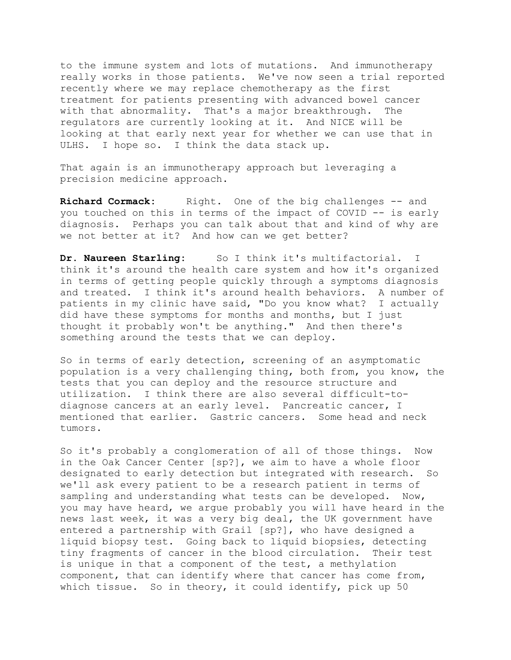to the immune system and lots of mutations. And immunotherapy really works in those patients. We've now seen a trial reported recently where we may replace chemotherapy as the first treatment for patients presenting with advanced bowel cancer with that abnormality. That's a major breakthrough. The regulators are currently looking at it. And NICE will be looking at that early next year for whether we can use that in ULHS. I hope so. I think the data stack up.

That again is an immunotherapy approach but leveraging a precision medicine approach.

Richard Cormack: Right. One of the big challenges -- and you touched on this in terms of the impact of COVID -- is early diagnosis. Perhaps you can talk about that and kind of why are we not better at it? And how can we get better?

Dr. Naureen Starling: So I think it's multifactorial. I think it's around the health care system and how it's organized in terms of getting people quickly through a symptoms diagnosis and treated. I think it's around health behaviors. A number of patients in my clinic have said, "Do you know what? I actually did have these symptoms for months and months, but I just thought it probably won't be anything." And then there's something around the tests that we can deploy.

So in terms of early detection, screening of an asymptomatic population is a very challenging thing, both from, you know, the tests that you can deploy and the resource structure and utilization. I think there are also several difficult-todiagnose cancers at an early level. Pancreatic cancer, I mentioned that earlier. Gastric cancers. Some head and neck tumors.

 So it's probably a conglomeration of all of those things. Now in the Oak Cancer Center [sp?], we aim to have a whole floor designated to early detection but integrated with research. So we'll ask every patient to be a research patient in terms of sampling and understanding what tests can be developed. Now, you may have heard, we argue probably you will have heard in the news last week, it was a very big deal, the UK government have entered a partnership with Grail [sp?], who have designed a liquid biopsy test. Going back to liquid biopsies, detecting tiny fragments of cancer in the blood circulation. Their test is unique in that a component of the test, a methylation component, that can identify where that cancer has come from, which tissue. So in theory, it could identify, pick up 50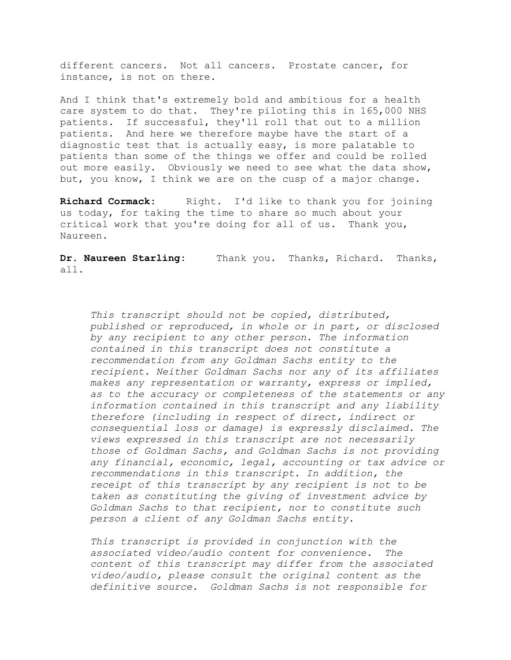different cancers. Not all cancers. Prostate cancer, for instance, is not on there.

And I think that's extremely bold and ambitious for a health care system to do that. They're piloting this in 165,000 NHS patients. If successful, they'll roll that out to a million patients. And here we therefore maybe have the start of a diagnostic test that is actually easy, is more palatable to patients than some of the things we offer and could be rolled out more easily. Obviously we need to see what the data show, but, you know, I think we are on the cusp of a major change.

Richard Cormack: Right. I'd like to thank you for joining us today, for taking the time to share so much about your critical work that you're doing for all of us. Thank you, Naureen.

**Dr. Naureen Starling:** Thank you. Thanks, Richard. Thanks, all.

*This transcript should not be copied, distributed, published or reproduced, in whole or in part, or disclosed by any recipient to any other person. The information contained in this transcript does not constitute a recommendation from any Goldman Sachs entity to the recipient. Neither Goldman Sachs nor any of its affiliates makes any representation or warranty, express or implied, as to the accuracy or completeness of the statements or any information contained in this transcript and any liability therefore (including in respect of direct, indirect or consequential loss or damage) is expressly disclaimed. The views expressed in this transcript are not necessarily those of Goldman Sachs, and Goldman Sachs is not providing any financial, economic, legal, accounting or tax advice or recommendations in this transcript. In addition, the receipt of this transcript by any recipient is not to be taken as constituting the giving of investment advice by Goldman Sachs to that recipient, nor to constitute such person a client of any Goldman Sachs entity.* 

*This transcript is provided in conjunction with the associated video/audio content for convenience. The content of this transcript may differ from the associated video/audio, please consult the original content as the definitive source. Goldman Sachs is not responsible for*